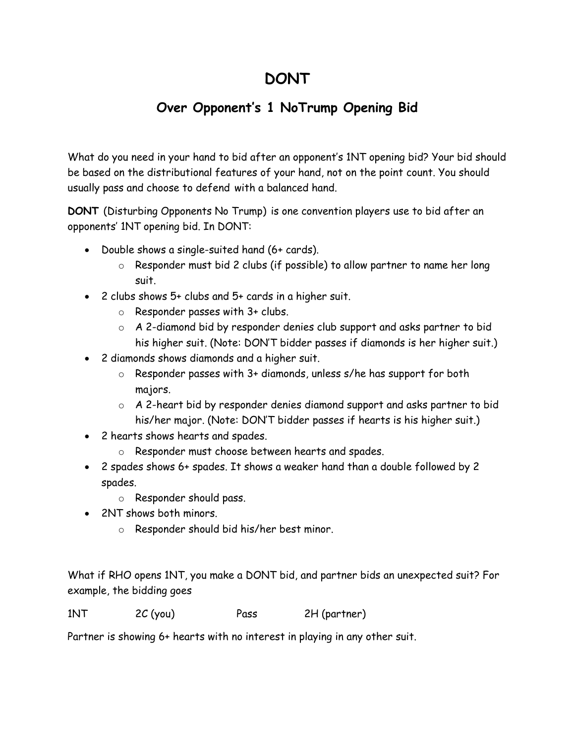## **DONT**

## **Over Opponent's 1 NoTrump Opening Bid**

What do you need in your hand to bid after an opponent's 1NT opening bid? Your bid should be based on the distributional features of your hand, not on the point count. You should usually pass and choose to defend with a balanced hand.

**DONT** (Disturbing Opponents No Trump) is one convention players use to bid after an opponents' 1NT opening bid. In DONT:

- Double shows a single-suited hand (6+ cards).
	- o Responder must bid 2 clubs (if possible) to allow partner to name her long suit.
- 2 clubs shows 5+ clubs and 5+ cards in a higher suit.
	- o Responder passes with 3+ clubs.
	- o A 2-diamond bid by responder denies club support and asks partner to bid his higher suit. (Note: DON'T bidder passes if diamonds is her higher suit.)
- 2 diamonds shows diamonds and a higher suit.
	- o Responder passes with 3+ diamonds, unless s/he has support for both majors.
	- o A 2-heart bid by responder denies diamond support and asks partner to bid his/her major. (Note: DON'T bidder passes if hearts is his higher suit.)
- 2 hearts shows hearts and spades.
	- o Responder must choose between hearts and spades.
- 2 spades shows 6+ spades. It shows a weaker hand than a double followed by 2 spades.
	- o Responder should pass.
- 2NT shows both minors.
	- o Responder should bid his/her best minor.

What if RHO opens 1NT, you make a DONT bid, and partner bids an unexpected suit? For example, the bidding goes

1NT 2C (you) Pass 2H (partner)

Partner is showing 6+ hearts with no interest in playing in any other suit.